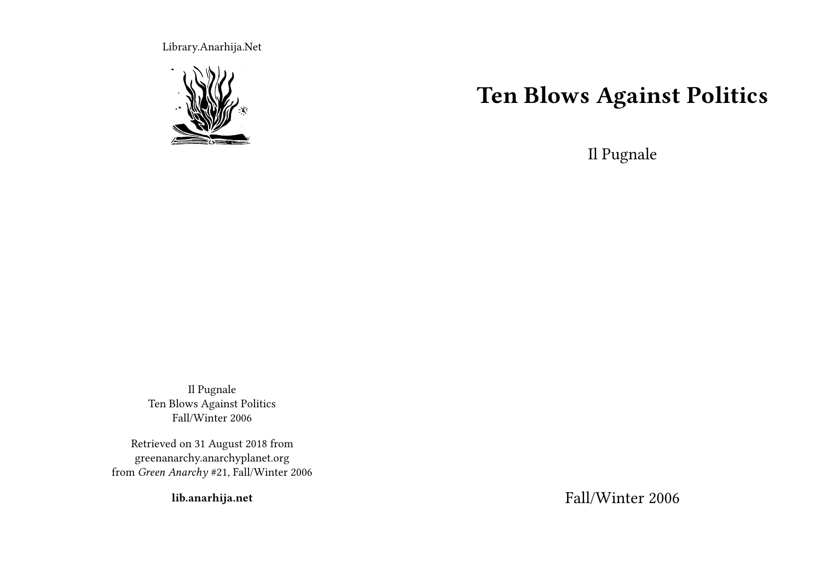Library.Anarhija.Net



# **Ten Blows Against Politics**

Il Pugnale

Il Pugnale Ten Blows Against Politics Fall/Winter 2006

Retrieved on 31 August 2018 from greenanarchy.anarchyplanet.org from *Green Anarchy* #21, Fall/Winter 2006

**lib.anarhija.net**

Fall/Winter 2006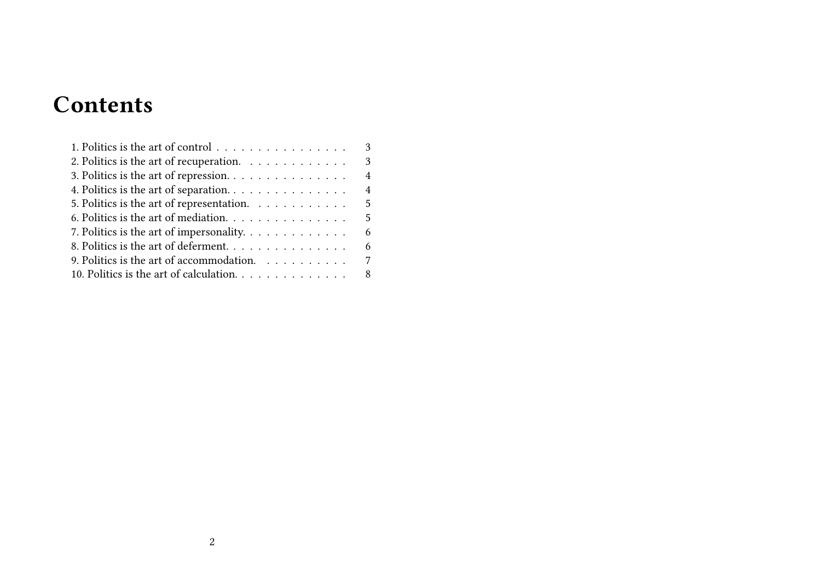# **Contents**

| 1. Politics is the art of control<br>-3         |
|-------------------------------------------------|
| 3                                               |
| $\overline{4}$                                  |
| $\overline{4}$                                  |
| 5. Politics is the art of representation.<br>-5 |
| 6. Politics is the art of mediation.<br>-5      |
| -6                                              |
| 8. Politics is the art of deferment<br>- 6      |
| 9. Politics is the art of accommodation. 7      |
| 10. Politics is the art of calculation. 8       |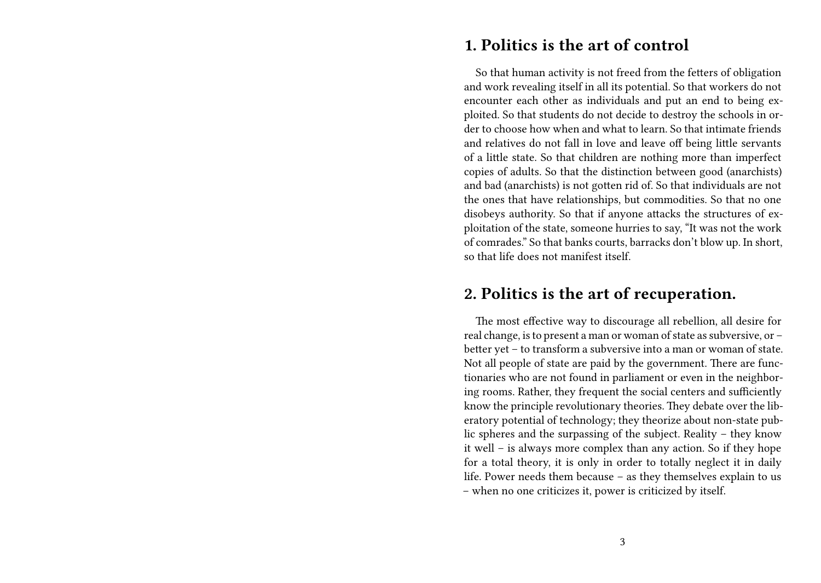#### **1. Politics is the art of control**

So that human activity is not freed from the fetters of obligation and work revealing itself in all its potential. So that workers do not encounter each other as individuals and put an end to being exploited. So that students do not decide to destroy the schools in order to choose how when and what to learn. So that intimate friends and relatives do not fall in love and leave off being little servants of a little state. So that children are nothing more than imperfect copies of adults. So that the distinction between good (anarchists) and bad (anarchists) is not gotten rid of. So that individuals are not the ones that have relationships, but commodities. So that no one disobeys authority. So that if anyone attacks the structures of exploitation of the state, someone hurries to say, "It was not the work of comrades." So that banks courts, barracks don't blow up. In short, so that life does not manifest itself.

#### **2. Politics is the art of recuperation.**

The most effective way to discourage all rebellion, all desire for real change, is to present a man or woman of state as subversive, or – better yet – to transform a subversive into a man or woman of state. Not all people of state are paid by the government. There are functionaries who are not found in parliament or even in the neighboring rooms. Rather, they frequent the social centers and sufficiently know the principle revolutionary theories. They debate over the liberatory potential of technology; they theorize about non-state public spheres and the surpassing of the subject. Reality – they know it well – is always more complex than any action. So if they hope for a total theory, it is only in order to totally neglect it in daily life. Power needs them because – as they themselves explain to us – when no one criticizes it, power is criticized by itself.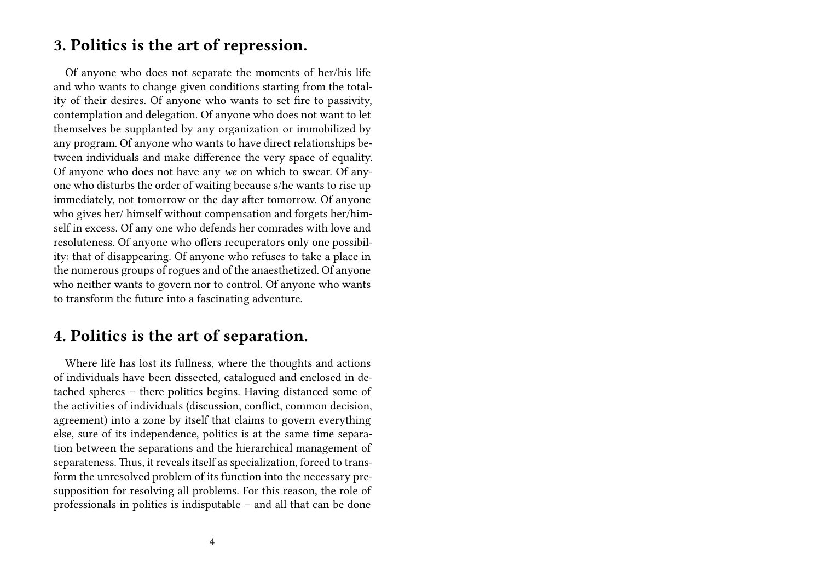#### **3. Politics is the art of repression.**

Of anyone who does not separate the moments of her/his life and who wants to change given conditions starting from the totality of their desires. Of anyone who wants to set fire to passivity, contemplation and delegation. Of anyone who does not want to let themselves be supplanted by any organization or immobilized by any program. Of anyone who wants to have direct relationships between individuals and make difference the very space of equality. Of anyone who does not have any *we* on which to swear. Of anyone who disturbs the order of waiting because s/he wants to rise up immediately, not tomorrow or the day after tomorrow. Of anyone who gives her/ himself without compensation and forgets her/himself in excess. Of any one who defends her comrades with love and resoluteness. Of anyone who offers recuperators only one possibility: that of disappearing. Of anyone who refuses to take a place in the numerous groups of rogues and of the anaesthetized. Of anyone who neither wants to govern nor to control. Of anyone who wants to transform the future into a fascinating adventure.

### **4. Politics is the art of separation.**

Where life has lost its fullness, where the thoughts and actions of individuals have been dissected, catalogued and enclosed in detached spheres – there politics begins. Having distanced some of the activities of individuals (discussion, conflict, common decision, agreement) into a zone by itself that claims to govern everything else, sure of its independence, politics is at the same time separation between the separations and the hierarchical management of separateness. Thus, it reveals itself as specialization, forced to transform the unresolved problem of its function into the necessary presupposition for resolving all problems. For this reason, the role of professionals in politics is indisputable – and all that can be done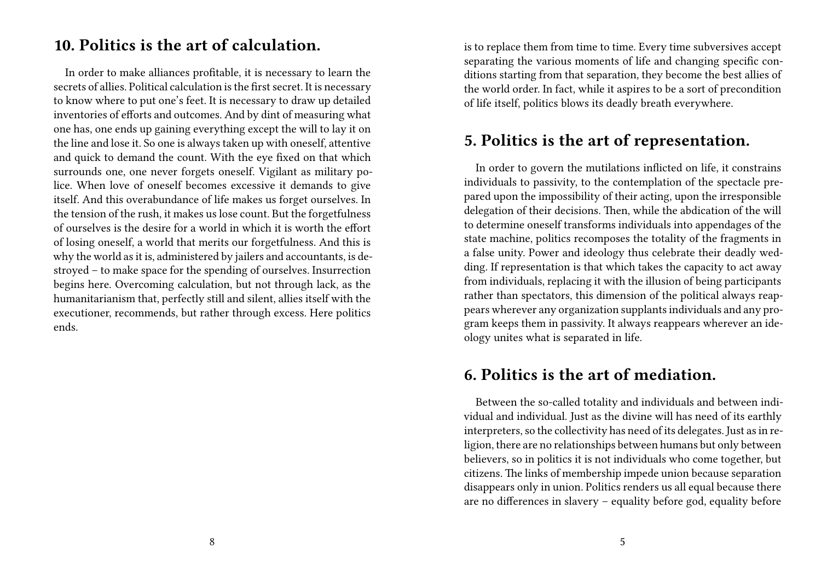# **10. Politics is the art of calculation.**

In order to make alliances profitable, it is necessary to learn the secrets of allies. Political calculation is the first secret. It is necessary to know where to put one's feet. It is necessary to draw up detailed inventories of efforts and outcomes. And by dint of measuring what one has, one ends up gaining everything except the will to lay it on the line and lose it. So one is always taken up with oneself, attentive and quick to demand the count. With the eye fixed on that which surrounds one, one never forgets oneself. Vigilant as military police. When love of oneself becomes excessive it demands to give itself. And this overabundance of life makes us forget ourselves. In the tension of the rush, it makes us lose count. But the forgetfulness of ourselves is the desire for a world in which it is worth the effort of losing oneself, a world that merits our forgetfulness. And this is why the world as it is, administered by jailers and accountants, is destroyed – to make space for the spending of ourselves. Insurrection begins here. Overcoming calculation, but not through lack, as the humanitarianism that, perfectly still and silent, allies itself with the executioner, recommends, but rather through excess. Here politics ends.

is to replace them from time to time. Every time subversives accept separating the various moments of life and changing specific conditions starting from that separation, they become the best allies of the world order. In fact, while it aspires to be a sort of precondition of life itself, politics blows its deadly breath everywhere.

## **5. Politics is the art of representation.**

In order to govern the mutilations inflicted on life, it constrains individuals to passivity, to the contemplation of the spectacle prepared upon the impossibility of their acting, upon the irresponsible delegation of their decisions. Then, while the abdication of the will to determine oneself transforms individuals into appendages of the state machine, politics recomposes the totality of the fragments in a false unity. Power and ideology thus celebrate their deadly wedding. If representation is that which takes the capacity to act away from individuals, replacing it with the illusion of being participants rather than spectators, this dimension of the political always reappears wherever any organization supplants individuals and any program keeps them in passivity. It always reappears wherever an ideology unites what is separated in life.

## **6. Politics is the art of mediation.**

Between the so-called totality and individuals and between individual and individual. Just as the divine will has need of its earthly interpreters, so the collectivity has need of its delegates. Just as in religion, there are no relationships between humans but only between believers, so in politics it is not individuals who come together, but citizens. The links of membership impede union because separation disappears only in union. Politics renders us all equal because there are no differences in slavery – equality before god, equality before